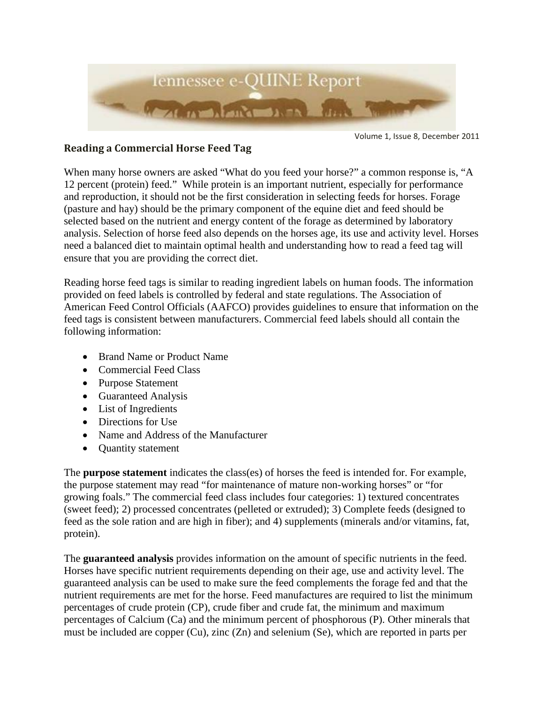

Volume 1, Issue 8, December 2011

## **Reading a Commercial Horse Feed Tag**

When many horse owners are asked "What do you feed your horse?" a common response is, "A 12 percent (protein) feed." While protein is an important nutrient, especially for performance and reproduction, it should not be the first consideration in selecting feeds for horses. Forage (pasture and hay) should be the primary component of the equine diet and feed should be selected based on the nutrient and energy content of the forage as determined by laboratory analysis. Selection of horse feed also depends on the horses age, its use and activity level. Horses need a balanced diet to maintain optimal health and understanding how to read a feed tag will ensure that you are providing the correct diet.

Reading horse feed tags is similar to reading ingredient labels on human foods. The information provided on feed labels is controlled by federal and state regulations. The Association of American Feed Control Officials (AAFCO) provides guidelines to ensure that information on the feed tags is consistent between manufacturers. Commercial feed labels should all contain the following information:

- Brand Name or Product Name
- Commercial Feed Class
- Purpose Statement
- Guaranteed Analysis
- List of Ingredients
- Directions for Use
- Name and Address of the Manufacturer
- Quantity statement

The **purpose statement** indicates the class(es) of horses the feed is intended for. For example, the purpose statement may read "for maintenance of mature non-working horses" or "for growing foals." The commercial feed class includes four categories: 1) textured concentrates (sweet feed); 2) processed concentrates (pelleted or extruded); 3) Complete feeds (designed to feed as the sole ration and are high in fiber); and 4) supplements (minerals and/or vitamins, fat, protein).

The **guaranteed analysis** provides information on the amount of specific nutrients in the feed. Horses have specific nutrient requirements depending on their age, use and activity level. The guaranteed analysis can be used to make sure the feed complements the forage fed and that the nutrient requirements are met for the horse. Feed manufactures are required to list the minimum percentages of crude protein (CP), crude fiber and crude fat, the minimum and maximum percentages of Calcium (Ca) and the minimum percent of phosphorous (P). Other minerals that must be included are copper (Cu), zinc (Zn) and selenium (Se), which are reported in parts per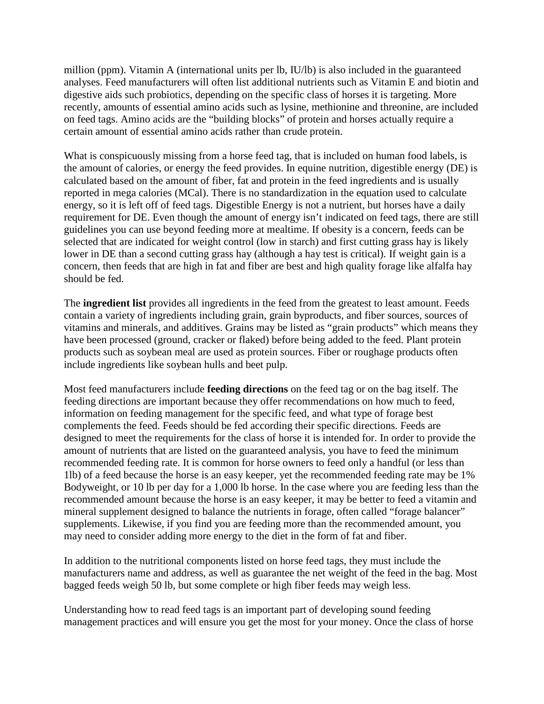million (ppm). Vitamin A (international units per lb, IU/lb) is also included in the guaranteed analyses. Feed manufacturers will often list additional nutrients such as Vitamin E and biotin and digestive aids such probiotics, depending on the specific class of horses it is targeting. More recently, amounts of essential amino acids such as lysine, methionine and threonine, are included on feed tags. Amino acids are the "building blocks" of protein and horses actually require a certain amount of essential amino acids rather than crude protein.

What is conspicuously missing from a horse feed tag, that is included on human food labels, is the amount of calories, or energy the feed provides. In equine nutrition, digestible energy (DE) is calculated based on the amount of fiber, fat and protein in the feed ingredients and is usually reported in mega calories (MCal). There is no standardization in the equation used to calculate energy, so it is left off of feed tags. Digestible Energy is not a nutrient, but horses have a daily requirement for DE. Even though the amount of energy isn't indicated on feed tags, there are still guidelines you can use beyond feeding more at mealtime. If obesity is a concern, feeds can be selected that are indicated for weight control (low in starch) and first cutting grass hay is likely lower in DE than a second cutting grass hay (although a hay test is critical). If weight gain is a concern, then feeds that are high in fat and fiber are best and high quality forage like alfalfa hay should be fed.

The **ingredient list** provides all ingredients in the feed from the greatest to least amount. Feeds contain a variety of ingredients including grain, grain byproducts, and fiber sources, sources of vitamins and minerals, and additives. Grains may be listed as "grain products" which means they have been processed (ground, cracker or flaked) before being added to the feed. Plant protein products such as soybean meal are used as protein sources. Fiber or roughage products often include ingredients like soybean hulls and beet pulp.

Most feed manufacturers include **feeding directions** on the feed tag or on the bag itself. The feeding directions are important because they offer recommendations on how much to feed, information on feeding management for the specific feed, and what type of forage best complements the feed. Feeds should be fed according their specific directions. Feeds are designed to meet the requirements for the class of horse it is intended for. In order to provide the amount of nutrients that are listed on the guaranteed analysis, you have to feed the minimum recommended feeding rate. It is common for horse owners to feed only a handful (or less than 1lb) of a feed because the horse is an easy keeper, yet the recommended feeding rate may be 1% Bodyweight, or 10 lb per day for a 1,000 lb horse. In the case where you are feeding less than the recommended amount because the horse is an easy keeper, it may be better to feed a vitamin and mineral supplement designed to balance the nutrients in forage, often called "forage balancer" supplements. Likewise, if you find you are feeding more than the recommended amount, you may need to consider adding more energy to the diet in the form of fat and fiber.

In addition to the nutritional components listed on horse feed tags, they must include the manufacturers name and address, as well as guarantee the net weight of the feed in the bag. Most bagged feeds weigh 50 lb, but some complete or high fiber feeds may weigh less.

Understanding how to read feed tags is an important part of developing sound feeding management practices and will ensure you get the most for your money. Once the class of horse